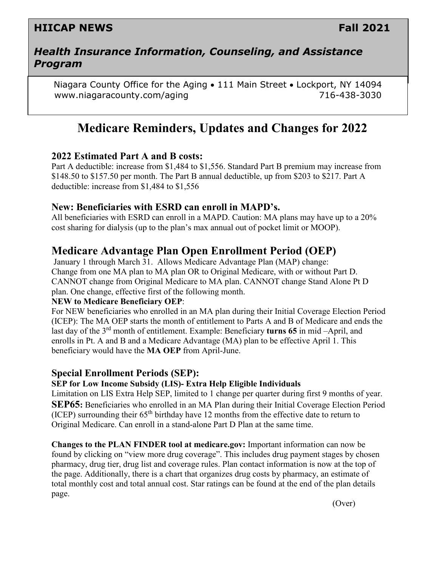## **HIICAP NEWS Fall 2021**

### *Health Insurance Information, Counseling, and Assistance Program*

Niagara County Office for the Aging • 111 Main Street • Lockport, NY 14094 www.niagaracounty.com/aging 716-438-3030

# **Medicare Reminders, Updates and Changes for 2022**

### **2022 Estimated Part A and B costs:**

Part A deductible: increase from \$1,484 to \$1,556. Standard Part B premium may increase from \$148.50 to \$157.50 per month. The Part B annual deductible, up from \$203 to \$217. Part A deductible: increase from \$1,484 to \$1,556

### **New: Beneficiaries with ESRD can enroll in MAPD's.**

All beneficiaries with ESRD can enroll in a MAPD. Caution: MA plans may have up to a 20% cost sharing for dialysis (up to the plan's max annual out of pocket limit or MOOP).

## **Medicare Advantage Plan Open Enrollment Period (OEP)**

January 1 through March 31. Allows Medicare Advantage Plan (MAP) change: Change from one MA plan to MA plan OR to Original Medicare, with or without Part D. CANNOT change from Original Medicare to MA plan. CANNOT change Stand Alone Pt D plan. One change, effective first of the following month.

### **NEW to Medicare Beneficiary OEP**:

For NEW beneficiaries who enrolled in an MA plan during their Initial Coverage Election Period (ICEP): The MA OEP starts the month of entitlement to Parts A and B of Medicare and ends the last day of the 3rd month of entitlement. Example: Beneficiary **turns 65** in mid –April, and enrolls in Pt. A and B and a Medicare Advantage (MA) plan to be effective April 1. This beneficiary would have the **MA OEP** from April-June.

### **Special Enrollment Periods (SEP):**

#### **SEP for Low Income Subsidy (LIS)- Extra Help Eligible Individuals**

Limitation on LIS Extra Help SEP, limited to 1 change per quarter during first 9 months of year. **SEP65:** Beneficiaries who enrolled in an MA Plan during their Initial Coverage Election Period (ICEP) surrounding their  $65<sup>th</sup>$  birthday have 12 months from the effective date to return to Original Medicare. Can enroll in a stand-alone Part D Plan at the same time.

**Changes to the PLAN FINDER tool at medicare.gov:** Important information can now be found by clicking on "view more drug coverage". This includes drug payment stages by chosen pharmacy, drug tier, drug list and coverage rules. Plan contact information is now at the top of the page. Additionally, there is a chart that organizes drug costs by pharmacy, an estimate of total monthly cost and total annual cost. Star ratings can be found at the end of the plan details page.